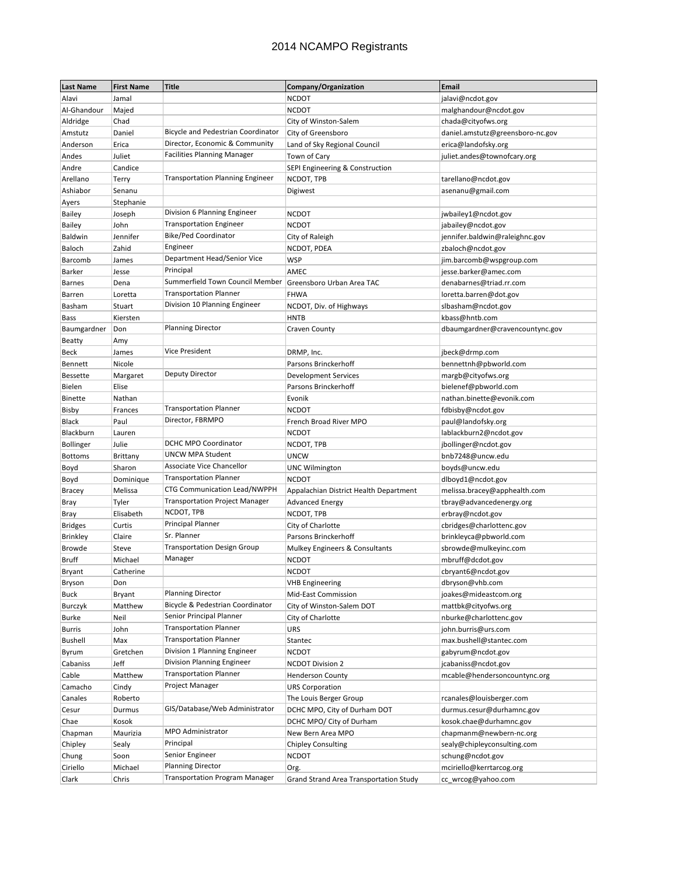| <b>Last Name</b> | <b>First Name</b> | Title                                   | Company/Organization                   | Email                            |
|------------------|-------------------|-----------------------------------------|----------------------------------------|----------------------------------|
| Alavi            | Jamal             |                                         | <b>NCDOT</b>                           | jalavi@ncdot.gov                 |
| Al-Ghandour      | Majed             |                                         | <b>NCDOT</b>                           | malghandour@ncdot.gov            |
| Aldridge         | Chad              |                                         | City of Winston-Salem                  | chada@cityofws.org               |
| Amstutz          | Daniel            | Bicycle and Pedestrian Coordinator      | City of Greensboro                     | daniel.amstutz@greensboro-nc.gov |
| Anderson         | Erica             | Director, Economic & Community          | Land of Sky Regional Council           | erica@landofsky.org              |
| Andes            | Juliet            | <b>Facilities Planning Manager</b>      | Town of Cary                           | juliet.andes@townofcary.org      |
| Andre            | Candice           |                                         | SEPI Engineering & Construction        |                                  |
| Arellano         | Terry             | <b>Transportation Planning Engineer</b> | NCDOT, TPB                             | tarellano@ncdot.gov              |
| Ashiabor         | Senanu            |                                         | Digiwest                               | asenanu@gmail.com                |
| Ayers            | Stephanie         |                                         |                                        |                                  |
| <b>Bailey</b>    | Joseph            | Division 6 Planning Engineer            | <b>NCDOT</b>                           | jwbailey1@ncdot.gov              |
| <b>Bailey</b>    | John              | <b>Transportation Engineer</b>          | <b>NCDOT</b>                           | jabailey@ncdot.gov               |
| Baldwin          | Jennifer          | Bike/Ped Coordinator                    | City of Raleigh                        | jennifer.baldwin@raleighnc.gov   |
| Baloch           | Zahid             | Engineer                                | NCDOT, PDEA                            | zbaloch@ncdot.gov                |
| Barcomb          | James             | Department Head/Senior Vice             | <b>WSP</b>                             | jim.barcomb@wspgroup.com         |
| <b>Barker</b>    | Jesse             | Principal                               | AMEC                                   | jesse.barker@amec.com            |
| <b>Barnes</b>    | Dena              | Summerfield Town Council Member         | Greensboro Urban Area TAC              | denabarnes@triad.rr.com          |
| Barren           | Loretta           | <b>Transportation Planner</b>           | <b>FHWA</b>                            | loretta.barren@dot.gov           |
| Basham           | Stuart            | Division 10 Planning Engineer           | NCDOT, Div. of Highways                | slbasham@ncdot.gov               |
| Bass             | Kiersten          |                                         | <b>HNTB</b>                            | kbass@hntb.com                   |
| Baumgardner      | Don               | <b>Planning Director</b>                | Craven County                          | dbaumgardner@cravencountync.gov  |
| <b>Beatty</b>    | Amy               |                                         |                                        |                                  |
| <b>Beck</b>      | James             | Vice President                          | DRMP, Inc.                             | jbeck@drmp.com                   |
| Bennett          | Nicole            |                                         | Parsons Brinckerhoff                   | bennettnh@pbworld.com            |
| <b>Bessette</b>  | Margaret          | Deputy Director                         | Development Services                   | margb@cityofws.org               |
| Bielen           | Elise             |                                         | Parsons Brinckerhoff                   | bielenef@pbworld.com             |
| <b>Binette</b>   | Nathan            |                                         | Evonik                                 | nathan.binette@evonik.com        |
| Bisby            | Frances           | <b>Transportation Planner</b>           | <b>NCDOT</b>                           | fdbisby@ncdot.gov                |
| Black            | Paul              | Director, FBRMPO                        | French Broad River MPO                 | paul@landofsky.org               |
| Blackburn        | Lauren            |                                         | <b>NCDOT</b>                           | lablackburn2@ncdot.gov           |
| <b>Bollinger</b> | Julie             | DCHC MPO Coordinator                    | NCDOT, TPB                             | jbollinger@ncdot.gov             |
| <b>Bottoms</b>   | Brittany          | <b>UNCW MPA Student</b>                 | <b>UNCW</b>                            | bnb7248@uncw.edu                 |
| Boyd             | Sharon            | Associate Vice Chancellor               | <b>UNC Wilmington</b>                  | boyds@uncw.edu                   |
| Boyd             | Dominique         | <b>Transportation Planner</b>           | <b>NCDOT</b>                           | dlboyd1@ncdot.gov                |
| <b>Bracey</b>    | Melissa           | <b>CTG Communication Lead/NWPPH</b>     | Appalachian District Health Department | melissa.bracey@apphealth.com     |
| Bray             | Tyler             | <b>Transportation Project Manager</b>   | <b>Advanced Energy</b>                 | tbray@advancedenergy.org         |
| Bray             | Elisabeth         | NCDOT, TPB                              | NCDOT, TPB                             | erbray@ncdot.gov                 |
| <b>Bridges</b>   | Curtis            | <b>Principal Planner</b>                | City of Charlotte                      | cbridges@charlottenc.gov         |
| <b>Brinkley</b>  | Claire            | Sr. Planner                             | Parsons Brinckerhoff                   | brinkleyca@pbworld.com           |
| <b>Browde</b>    | Steve             | <b>Transportation Design Group</b>      | Mulkey Engineers & Consultants         | sbrowde@mulkeyinc.com            |
| <b>Bruff</b>     | Michael           | Manager                                 | <b>NCDOT</b>                           | mbruff@dcdot.gov                 |
| <b>Bryant</b>    | Catherine         |                                         | <b>NCDOT</b>                           | cbryant6@ncdot.gov               |
| Bryson           | Don               |                                         | <b>VHB Engineering</b>                 | dbryson@vhb.com                  |
| <b>Buck</b>      | Bryant            | <b>Planning Director</b>                | Mid-East Commission                    | joakes@mideastcom.org            |
| Burczyk          | Matthew           | Bicycle & Pedestrian Coordinator        | City of Winston-Salem DOT              | mattbk@cityofws.org              |
| Burke            | Neil              | Senior Principal Planner                | City of Charlotte                      | nburke@charlottenc.gov           |
| Burris           | John              | <b>Transportation Planner</b>           | URS                                    | john.burris@urs.com              |
| <b>Bushell</b>   | Max               | <b>Transportation Planner</b>           | Stantec                                | max.bushell@stantec.com          |
| Byrum            | Gretchen          | Division 1 Planning Engineer            | <b>NCDOT</b>                           | gabyrum@ncdot.gov                |
| Cabaniss         | Jeff              | Division Planning Engineer              | <b>NCDOT Division 2</b>                | jcabaniss@ncdot.gov              |
| Cable            | Matthew           | <b>Transportation Planner</b>           | <b>Henderson County</b>                | mcable@hendersoncountync.org     |
| Camacho          | Cindy             | Project Manager                         | <b>URS Corporation</b>                 |                                  |
| Canales          | Roberto           |                                         | The Louis Berger Group                 | rcanales@louisberger.com         |
| Cesur            | Durmus            | GIS/Database/Web Administrator          | DCHC MPO, City of Durham DOT           | durmus.cesur@durhamnc.gov        |
| Chae             | Kosok             |                                         | DCHC MPO/ City of Durham               | kosok.chae@durhamnc.gov          |
| Chapman          | Maurizia          | MPO Administrator                       | New Bern Area MPO                      | chapmanm@newbern-nc.org          |
| Chipley          | Sealy             | Principal                               | <b>Chipley Consulting</b>              | sealy@chipleyconsulting.com      |
| Chung            | Soon              | Senior Engineer                         | <b>NCDOT</b>                           | schung@ncdot.gov                 |
| Ciriello         | Michael           | <b>Planning Director</b>                | Org.                                   | mciriello@kerrtarcog.org         |
| Clark            | Chris             | <b>Transportation Program Manager</b>   | Grand Strand Area Transportation Study | cc wrcog@yahoo.com               |
|                  |                   |                                         |                                        |                                  |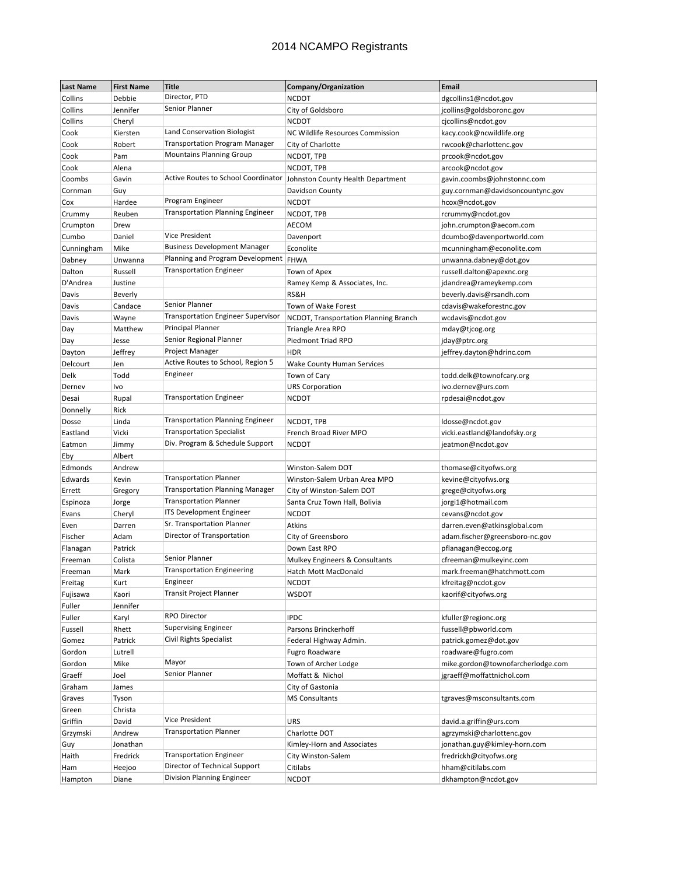| <b>Last Name</b> | <b>First Name</b>  | <b>Title</b>                              | Company/Organization                    | Email                                              |
|------------------|--------------------|-------------------------------------------|-----------------------------------------|----------------------------------------------------|
| Collins          | Debbie             | Director, PTD                             | <b>NCDOT</b>                            | dgcollins1@ncdot.gov                               |
| Collins          | Jennifer           | Senior Planner                            | City of Goldsboro                       | jcollins@goldsboronc.gov                           |
| Collins          | Cheryl             |                                           | <b>NCDOT</b>                            | cjcollins@ncdot.gov                                |
| Cook             | Kiersten           | Land Conservation Biologist               | <b>NC Wildlife Resources Commission</b> | kacy.cook@ncwildlife.org                           |
| Cook             | Robert             | <b>Transportation Program Manager</b>     | City of Charlotte                       | rwcook@charlottenc.gov                             |
| Cook             | Pam                | <b>Mountains Planning Group</b>           | NCDOT, TPB                              | prcook@ncdot.gov                                   |
| Cook             | Alena              |                                           | NCDOT, TPB                              | arcook@ncdot.gov                                   |
| Coombs           | Gavin              | Active Routes to School Coordinator       | Johnston County Health Department       | gavin.coombs@johnstonnc.com                        |
| Cornman          | Guy                |                                           | Davidson County                         | guy.cornman@davidsoncountync.gov                   |
| Cox              | Hardee             | Program Engineer                          | <b>NCDOT</b>                            | hcox@ncdot.gov                                     |
| Crummy           | Reuben             | <b>Transportation Planning Engineer</b>   | NCDOT, TPB                              | rcrummy@ncdot.gov                                  |
| Crumpton         | Drew               |                                           | AECOM                                   | john.crumpton@aecom.com                            |
| Cumbo            | Daniel             | <b>Vice President</b>                     | Davenport                               | dcumbo@davenportworld.com                          |
| Cunningham       | Mike               | <b>Business Development Manager</b>       | Econolite                               | mcunningham@econolite.com                          |
| Dabney           | Unwanna            | Planning and Program Development   FHWA   |                                         | unwanna.dabney@dot.gov                             |
| Dalton           | Russell            | <b>Transportation Engineer</b>            | Town of Apex                            | russell.dalton@apexnc.org                          |
| D'Andrea         | Justine            |                                           |                                         |                                                    |
|                  |                    |                                           | Ramey Kemp & Associates, Inc.<br>RS&H   | jdandrea@rameykemp.com<br>beverly.davis@rsandh.com |
| Davis<br>Davis   | Beverly<br>Candace | Senior Planner                            | Town of Wake Forest                     | cdavis@wakeforestnc.gov                            |
|                  |                    | <b>Transportation Engineer Supervisor</b> |                                         |                                                    |
| Davis            | Wayne              | Principal Planner                         | NCDOT, Transportation Planning Branch   | wcdavis@ncdot.gov                                  |
| Day              | Matthew            | Senior Regional Planner                   | Triangle Area RPO                       | mday@tjcog.org                                     |
| Day              | Jesse              | Project Manager                           | Piedmont Triad RPO                      | jday@ptrc.org                                      |
| Dayton           | Jeffrey            |                                           | <b>HDR</b>                              | jeffrey.dayton@hdrinc.com                          |
| Delcourt         | Jen                | Active Routes to School, Region 5         | Wake County Human Services              |                                                    |
| Delk             | Todd               | Engineer                                  | Town of Cary                            | todd.delk@townofcary.org                           |
| Dernev           | Ivo                |                                           | <b>URS Corporation</b>                  | ivo.dernev@urs.com                                 |
| Desai            | Rupal              | <b>Transportation Engineer</b>            | <b>NCDOT</b>                            | rpdesai@ncdot.gov                                  |
| Donnelly         | Rick               |                                           |                                         |                                                    |
| Dosse            | Linda              | <b>Transportation Planning Engineer</b>   | NCDOT, TPB                              | ldosse@ncdot.gov                                   |
| Eastland         | Vicki              | <b>Transportation Specialist</b>          | French Broad River MPO                  | vicki.eastland@landofsky.org                       |
| Eatmon           | Jimmy              | Div. Program & Schedule Support           | <b>NCDOT</b>                            | jeatmon@ncdot.gov                                  |
| Eby              | Albert             |                                           |                                         |                                                    |
| Edmonds          | Andrew             |                                           | Winston-Salem DOT                       | thomase@cityofws.org                               |
| Edwards          | Kevin              | <b>Transportation Planner</b>             | Winston-Salem Urban Area MPO            | kevine@cityofws.org                                |
| Errett           | Gregory            | <b>Transportation Planning Manager</b>    | City of Winston-Salem DOT               | grege@cityofws.org                                 |
| Espinoza         | Jorge              | <b>Transportation Planner</b>             | Santa Cruz Town Hall, Bolivia           | jorgi1@hotmail.com                                 |
| Evans            | Cheryl             | ITS Development Engineer                  | <b>NCDOT</b>                            | cevans@ncdot.gov                                   |
| Even             | Darren             | Sr. Transportation Planner                | Atkins                                  | darren.even@atkinsglobal.com                       |
| Fischer          | Adam               | Director of Transportation                | City of Greensboro                      | adam.fischer@greensboro-nc.gov                     |
| Flanagan         | Patrick            |                                           | Down East RPO                           | pflanagan@eccog.org                                |
| Freeman          | Colista            | Senior Planner                            | Mulkey Engineers & Consultants          | cfreeman@mulkeyinc.com                             |
| Freeman          | Mark               | <b>Transportation Engineering</b>         | Hatch Mott MacDonald                    | mark.freeman@hatchmott.com                         |
| Freitag          | Kurt               | Engineer                                  | <b>NCDOT</b>                            | kfreitag@ncdot.gov                                 |
| Fujisawa         | Kaori              | <b>Transit Project Planner</b>            | <b>WSDOT</b>                            | kaorif@cityofws.org                                |
| Fuller           | Jennifer           |                                           |                                         |                                                    |
| Fuller           | Karyl              | <b>RPO Director</b>                       | <b>IPDC</b>                             | kfuller@regionc.org                                |
| Fussell          | Rhett              | <b>Supervising Engineer</b>               | Parsons Brinckerhoff                    | fussell@pbworld.com                                |
| Gomez            | Patrick            | <b>Civil Rights Specialist</b>            | Federal Highway Admin.                  | patrick.gomez@dot.gov                              |
| Gordon           | Lutrell            |                                           | <b>Fugro Roadware</b>                   | roadware@fugro.com                                 |
| Gordon           | Mike               | Mayor                                     | Town of Archer Lodge                    | mike.gordon@townofarcherlodge.com                  |
| Graeff           | Joel               | Senior Planner                            | Moffatt & Nichol                        | jgraeff@moffattnichol.com                          |
| Graham           | James              |                                           | City of Gastonia                        |                                                    |
| Graves           | Tyson              |                                           | <b>MS Consultants</b>                   | tgraves@msconsultants.com                          |
| Green            | Christa            |                                           |                                         |                                                    |
| Griffin          | David              | Vice President                            | URS                                     | david.a.griffin@urs.com                            |
| Grzymski         | Andrew             | <b>Transportation Planner</b>             | Charlotte DOT                           | agrzymski@charlottenc.gov                          |
| Guy              | Jonathan           |                                           | Kimley-Horn and Associates              | jonathan.guy@kimley-horn.com                       |
| Haith            | Fredrick           | <b>Transportation Engineer</b>            | City Winston-Salem                      | fredrickh@cityofws.org                             |
| Ham              | Heejoo             | Director of Technical Support             | Citilabs                                | hham@citilabs.com                                  |
| Hampton          | Diane              | Division Planning Engineer                | <b>NCDOT</b>                            | dkhampton@ncdot.gov                                |
|                  |                    |                                           |                                         |                                                    |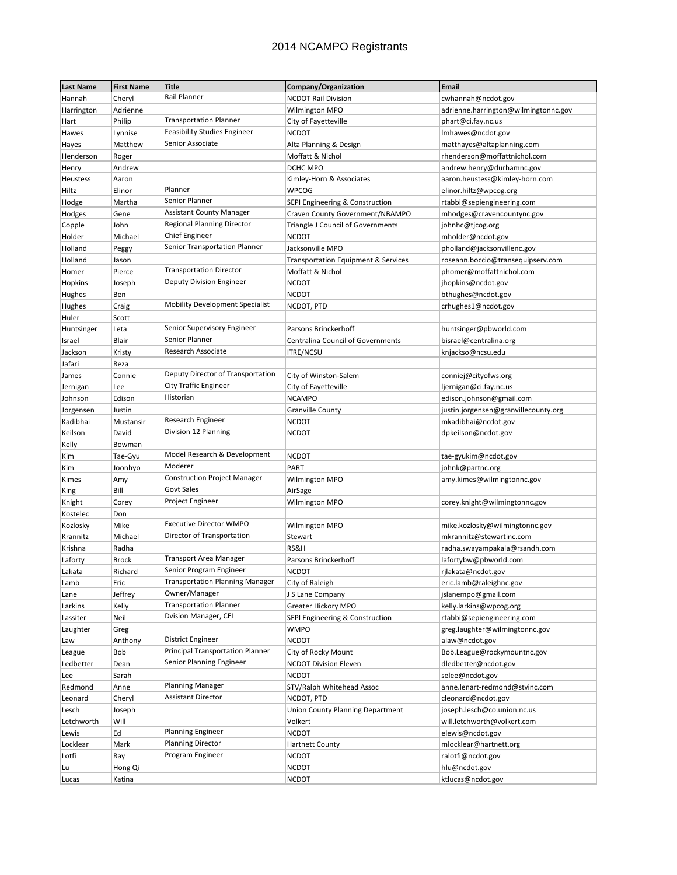| <b>Last Name</b> | <b>First Name</b> | <b>Title</b>                           | Company/Organization                     | <b>Email</b>                         |
|------------------|-------------------|----------------------------------------|------------------------------------------|--------------------------------------|
| Hannah           | Cheryl            | Rail Planner                           | <b>NCDOT Rail Division</b>               | cwhannah@ncdot.gov                   |
| Harrington       | Adrienne          |                                        | Wilmington MPO                           | adrienne.harrington@wilmingtonnc.gov |
| Hart             | Philip            | <b>Transportation Planner</b>          | City of Fayetteville                     | phart@ci.fay.nc.us                   |
| Hawes            | Lynnise           | <b>Feasibility Studies Engineer</b>    | <b>NCDOT</b>                             | Imhawes@ncdot.gov                    |
| Hayes            | Matthew           | Senior Associate                       | Alta Planning & Design                   | matthayes@altaplanning.com           |
| Henderson        | Roger             |                                        | Moffatt & Nichol                         | rhenderson@moffattnichol.com         |
| Henry            | Andrew            |                                        | DCHC MPO                                 | andrew.henry@durhamnc.gov            |
| Heustess         | Aaron             |                                        | Kimley-Horn & Associates                 | aaron.heustess@kimley-horn.com       |
| Hiltz            | Elinor            | Planner                                | <b>WPCOG</b>                             | elinor.hiltz@wpcog.org               |
| Hodge            | Martha            | Senior Planner                         | SEPI Engineering & Construction          | rtabbi@sepiengineering.com           |
| Hodges           | Gene              | <b>Assistant County Manager</b>        | Craven County Government/NBAMPO          | mhodges@cravencountync.gov           |
| Copple           | John              | <b>Regional Planning Director</b>      | Triangle J Council of Governments        | johnhc@tjcog.org                     |
| Holder           | Michael           | <b>Chief Engineer</b>                  | <b>NCDOT</b>                             | mholder@ncdot.gov                    |
| Holland          | Peggy             | Senior Transportation Planner          | Jacksonville MPO                         | pholland@jacksonvillenc.gov          |
| Holland          | Jason             |                                        | Transportation Equipment & Services      | roseann.boccio@transequipserv.com    |
| Homer            | Pierce            | <b>Transportation Director</b>         | Moffatt & Nichol                         | phomer@moffattnichol.com             |
| Hopkins          | Joseph            | <b>Deputy Division Engineer</b>        | <b>NCDOT</b>                             | jhopkins@ncdot.gov                   |
| Hughes           | Ben               |                                        | <b>NCDOT</b>                             | bthughes@ncdot.gov                   |
| Hughes           | Craig             | <b>Mobility Development Specialist</b> | NCDOT, PTD                               | crhughes1@ncdot.gov                  |
| Huler            | Scott             |                                        |                                          |                                      |
| Huntsinger       | Leta              | Senior Supervisory Engineer            | Parsons Brinckerhoff                     | huntsinger@pbworld.com               |
| Israel           | Blair             | Senior Planner                         | <b>Centralina Council of Governments</b> | bisrael@centralina.org               |
| Jackson          | Kristy            | Research Associate                     | <b>ITRE/NCSU</b>                         | knjackso@ncsu.edu                    |
| Jafari           | Reza              |                                        |                                          |                                      |
| James            | Connie            | Deputy Director of Transportation      | City of Winston-Salem                    | conniej@cityofws.org                 |
| Jernigan         | Lee               | <b>City Traffic Engineer</b>           | City of Fayetteville                     | ljernigan@ci.fay.nc.us               |
| Johnson          | Edison            | Historian                              | <b>NCAMPO</b>                            | edison.johnson@gmail.com             |
| Jorgensen        | Justin            |                                        | <b>Granville County</b>                  | justin.jorgensen@granvillecounty.org |
| Kadibhai         | Mustansir         | Research Engineer                      | <b>NCDOT</b>                             | mkadibhai@ncdot.gov                  |
| Keilson          | David             | Division 12 Planning                   | <b>NCDOT</b>                             | dpkeilson@ncdot.gov                  |
| Kelly            | Bowman            |                                        |                                          |                                      |
| Kim              | Tae-Gyu           | Model Research & Development           | <b>NCDOT</b>                             | tae-gyukim@ncdot.gov                 |
| Kim              | Joonhyo           | Moderer                                | PART                                     | johnk@partnc.org                     |
| Kimes            | Amy               | <b>Construction Project Manager</b>    | Wilmington MPO                           | amy.kimes@wilmingtonnc.gov           |
| King             | Bill              | <b>Govt Sales</b>                      | AirSage                                  |                                      |
| Knight           | Corey             | Project Engineer                       | Wilmington MPO                           | corey.knight@wilmingtonnc.gov        |
| Kostelec         | Don               |                                        |                                          |                                      |
| Kozlosky         | Mike              | <b>Executive Director WMPO</b>         | Wilmington MPO                           | mike.kozlosky@wilmingtonnc.gov       |
| Krannitz         | Michael           | Director of Transportation             | Stewart                                  | mkrannitz@stewartinc.com             |
| Krishna          | Radha             |                                        | RS&H                                     | radha.swayampakala@rsandh.com        |
| Laforty          | <b>Brock</b>      | Transport Area Manager                 | Parsons Brinckerhoff                     | lafortybw@pbworld.com                |
| Lakata           | Richard           | Senior Program Engineer                | <b>NCDOT</b>                             | rjlakata@ncdot.gov                   |
| Lamb             | Eric              | <b>Transportation Planning Manager</b> | City of Raleigh                          | eric.lamb@raleighnc.gov              |
| Lane             | Jeffrey           | Owner/Manager                          | J S Lane Company                         | jslanempo@gmail.com                  |
| Larkins          | Kelly             | <b>Transportation Planner</b>          | Greater Hickory MPO                      | kelly.larkins@wpcog.org              |
| Lassiter         | Neil              | Dvision Manager, CEI                   | SEPI Engineering & Construction          | rtabbi@sepiengineering.com           |
| Laughter         | Greg              |                                        | <b>WMPO</b>                              | greg.laughter@wilmingtonnc.gov       |
| Law              | Anthony           | <b>District Engineer</b>               | <b>NCDOT</b>                             | alaw@ncdot.gov                       |
| League           | Bob               | Principal Transportation Planner       | City of Rocky Mount                      | Bob.League@rockymountnc.gov          |
| Ledbetter        | Dean              | Senior Planning Engineer               | <b>NCDOT Division Eleven</b>             | dledbetter@ncdot.gov                 |
| Lee              | Sarah             |                                        | <b>NCDOT</b>                             | selee@ncdot.gov                      |
| Redmond          | Anne              | <b>Planning Manager</b>                | STV/Ralph Whitehead Assoc                | anne.lenart-redmond@stvinc.com       |
| Leonard          | Cheryl            | <b>Assistant Director</b>              | NCDOT, PTD                               | cleonard@ncdot.gov                   |
| Lesch            | Joseph            |                                        | Union County Planning Department         | joseph.lesch@co.union.nc.us          |
| Letchworth       | Will              |                                        | Volkert                                  | will.letchworth@volkert.com          |
| Lewis            | Ed                | <b>Planning Engineer</b>               | <b>NCDOT</b>                             | elewis@ncdot.gov                     |
| Locklear         | Mark              | <b>Planning Director</b>               | <b>Hartnett County</b>                   | mlocklear@hartnett.org               |
| Lotfi            | Ray               | Program Engineer                       | <b>NCDOT</b>                             | ralotfi@ncdot.gov                    |
| Lu               | Hong Qi           |                                        | <b>NCDOT</b>                             | hlu@ncdot.gov                        |
| Lucas            | Katina            |                                        | <b>NCDOT</b>                             | ktlucas@ncdot.gov                    |
|                  |                   |                                        |                                          |                                      |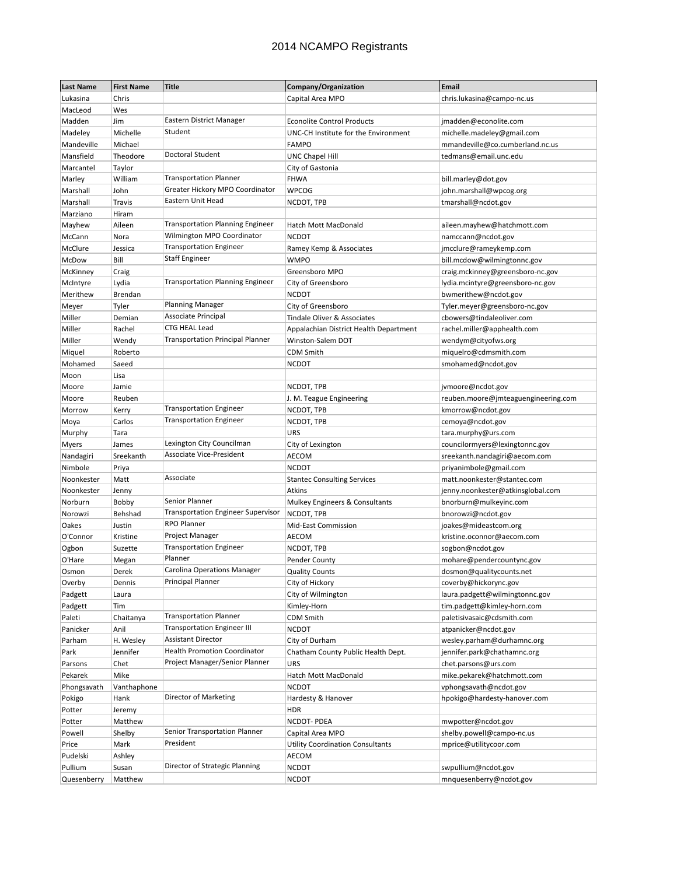| <b>Last Name</b>    | <b>First Name</b> | <b>Title</b>                              | Company/Organization                    | Email                                               |
|---------------------|-------------------|-------------------------------------------|-----------------------------------------|-----------------------------------------------------|
| Lukasina            | Chris             |                                           | Capital Area MPO                        | chris.lukasina@campo-nc.us                          |
| MacLeod             | Wes               |                                           |                                         |                                                     |
| Madden              | Jim               | Eastern District Manager                  | <b>Econolite Control Products</b>       | jmadden@econolite.com                               |
| Madeley             | Michelle          | Student                                   | UNC-CH Institute for the Environment    | michelle.madeley@gmail.com                          |
| Mandeville          | Michael           |                                           | <b>FAMPO</b>                            | mmandeville@co.cumberland.nc.us                     |
| Mansfield           | Theodore          | Doctoral Student                          | <b>UNC Chapel Hill</b>                  | tedmans@email.unc.edu                               |
| Marcantel           | Taylor            |                                           | City of Gastonia                        |                                                     |
| Marley              | William           | <b>Transportation Planner</b>             | <b>FHWA</b>                             | bill.marley@dot.gov                                 |
| Marshall            | John              | Greater Hickory MPO Coordinator           | <b>WPCOG</b>                            | john.marshall@wpcog.org                             |
| Marshall            | Travis            | Eastern Unit Head                         | NCDOT, TPB                              | tmarshall@ncdot.gov                                 |
| Marziano            | Hiram             |                                           |                                         |                                                     |
| Mayhew              | Aileen            | <b>Transportation Planning Engineer</b>   | <b>Hatch Mott MacDonald</b>             | aileen.mayhew@hatchmott.com                         |
| McCann              | Nora              | Wilmington MPO Coordinator                | <b>NCDOT</b>                            | namccann@ncdot.gov                                  |
| McClure             | Jessica           | <b>Transportation Engineer</b>            | Ramey Kemp & Associates                 | jmcclure@rameykemp.com                              |
| McDow               | Bill              | <b>Staff Engineer</b>                     | <b>WMPO</b>                             | bill.mcdow@wilmingtonnc.gov                         |
| McKinney            | Craig             |                                           | Greensboro MPO                          | craig.mckinney@greensboro-nc.gov                    |
| McIntyre            | Lydia             | <b>Transportation Planning Engineer</b>   | City of Greensboro                      | lydia.mcintyre@greensboro-nc.gov                    |
| Merithew            | Brendan           |                                           | <b>NCDOT</b>                            | bwmerithew@ncdot.gov                                |
| Meyer               | Tyler             | <b>Planning Manager</b>                   | City of Greensboro                      | Tyler.meyer@greensboro-nc.gov                       |
| Miller              | Demian            | Associate Principal                       | Tindale Oliver & Associates             | cbowers@tindaleoliver.com                           |
| Miller              | Rachel            | CTG HEAL Lead                             | Appalachian District Health Department  | rachel.miller@apphealth.com                         |
| Miller              | Wendy             | <b>Transportation Principal Planner</b>   | Winston-Salem DOT                       | wendym@cityofws.org                                 |
| Miquel              | Roberto           |                                           | CDM Smith                               | miquelro@cdmsmith.com                               |
| Mohamed             | Saeed             |                                           | <b>NCDOT</b>                            | smohamed@ncdot.gov                                  |
| Moon                | Lisa              |                                           |                                         |                                                     |
| Moore               | Jamie             |                                           | NCDOT, TPB                              | jvmoore@ncdot.gov                                   |
| Moore               | Reuben            |                                           | J. M. Teague Engineering                | reuben.moore@jmteaguengineering.com                 |
| Morrow              | Kerry             | <b>Transportation Engineer</b>            | NCDOT, TPB                              | kmorrow@ncdot.gov                                   |
| Moya                | Carlos            | <b>Transportation Engineer</b>            | NCDOT, TPB                              | cemoya@ncdot.gov                                    |
| Murphy              | Tara              |                                           | <b>URS</b>                              | tara.murphy@urs.com                                 |
| Myers               | James             | Lexington City Councilman                 | City of Lexington                       | councilormyers@lexingtonnc.gov                      |
| Nandagiri           | Sreekanth         | Associate Vice-President                  | AECOM                                   | sreekanth.nandagiri@aecom.com                       |
| Nimbole             | Priya             |                                           | <b>NCDOT</b>                            | priyanimbole@gmail.com                              |
| Noonkester          | Matt              | Associate                                 | <b>Stantec Consulting Services</b>      | matt.noonkester@stantec.com                         |
| Noonkester          | Jenny             |                                           | Atkins                                  | jenny.noonkester@atkinsglobal.com                   |
| Norburn             | Bobby             | Senior Planner                            | Mulkey Engineers & Consultants          | bnorburn@mulkeyinc.com                              |
| Norowzi             | Behshad           | <b>Transportation Engineer Supervisor</b> | NCDOT, TPB                              | bnorowzi@ncdot.gov                                  |
| Oakes               | Justin            | <b>RPO Planner</b>                        | Mid-East Commission                     | joakes@mideastcom.org                               |
| O'Connor            | Kristine          | Project Manager                           | AECOM                                   | kristine.oconnor@aecom.com                          |
| Ogbon               | Suzette           | <b>Transportation Engineer</b>            | NCDOT, TPB                              | sogbon@ncdot.gov                                    |
| O'Hare              | Megan             | Planner                                   | Pender County                           | mohare@pendercountync.gov                           |
| Osmon               | Derek             | Carolina Operations Manager               | <b>Quality Counts</b>                   | dosmon@qualitycounts.net                            |
| Overby              | Dennis            | <b>Principal Planner</b>                  | City of Hickory                         | coverby@hickorync.gov                               |
| Padgett             | Laura             |                                           | City of Wilmington                      | laura.padgett@wilmingtonnc.gov                      |
| Padgett             | Tim               |                                           | Kimley-Horn                             | tim.padgett@kimley-horn.com                         |
| Paleti              | Chaitanya         | <b>Transportation Planner</b>             | <b>CDM Smith</b>                        | paletisivasaic@cdsmith.com                          |
| Panicker            | Anil              | <b>Transportation Engineer III</b>        | <b>NCDOT</b>                            | atpanicker@ncdot.gov                                |
| Parham              | H. Wesley         | <b>Assistant Director</b>                 | City of Durham                          | wesley.parham@durhamnc.org                          |
| Park                | Jennifer          | <b>Health Promotion Coordinator</b>       | Chatham County Public Health Dept.      | jennifer.park@chathamnc.org                         |
| Parsons             | Chet              | Project Manager/Senior Planner            | URS                                     | chet.parsons@urs.com                                |
| Pekarek             | Mike              |                                           | Hatch Mott MacDonald                    | mike.pekarek@hatchmott.com                          |
| Phongsavath         | Vanthaphone       |                                           | <b>NCDOT</b>                            | vphongsavath@ncdot.gov                              |
| Pokigo              | Hank              | Director of Marketing                     | Hardesty & Hanover                      | hpokigo@hardesty-hanover.com                        |
| Potter              | Jeremy            |                                           | <b>HDR</b>                              |                                                     |
|                     | Matthew           |                                           | <b>NCDOT-PDEA</b>                       | mwpotter@ncdot.gov                                  |
| Potter<br>Powell    | Shelby            | Senior Transportation Planner             | Capital Area MPO                        |                                                     |
| Price               | Mark              | President                                 | <b>Utility Coordination Consultants</b> | shelby.powell@campo-nc.us<br>mprice@utilitycoor.com |
|                     |                   |                                           | AECOM                                   |                                                     |
| Pudelski<br>Pullium | Ashley            | Director of Strategic Planning            | <b>NCDOT</b>                            |                                                     |
|                     | Susan             |                                           |                                         | swpullium@ncdot.gov                                 |
| Quesenberry         | Matthew           |                                           | <b>NCDOT</b>                            | mnquesenberry@ncdot.gov                             |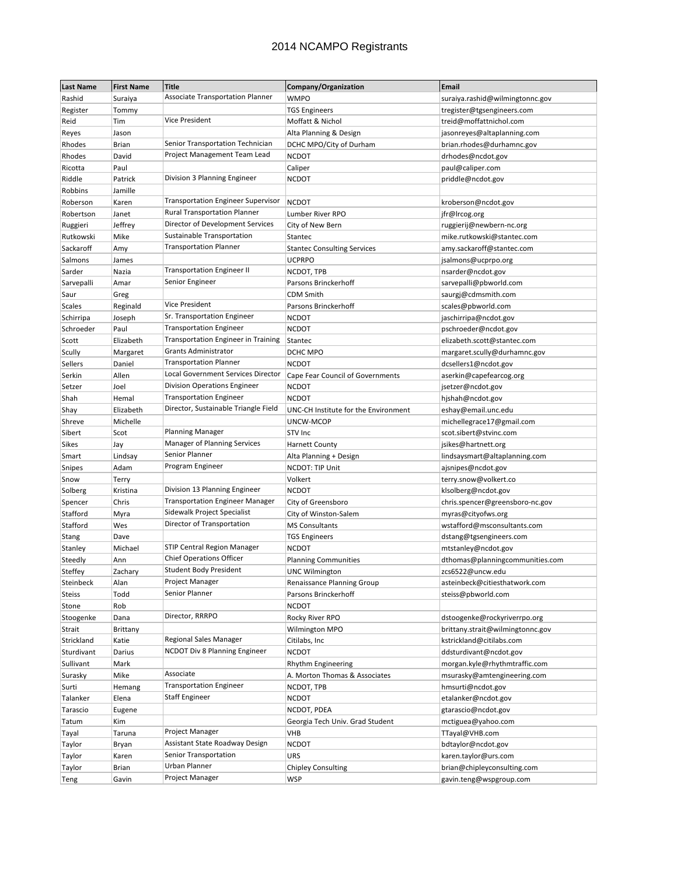| <b>Last Name</b> | <b>First Name</b> | <b>Title</b>                                                            | Company/Organization                 | <b>Email</b>                                  |
|------------------|-------------------|-------------------------------------------------------------------------|--------------------------------------|-----------------------------------------------|
| Rashid           | Suraiya           | <b>Associate Transportation Planner</b>                                 | <b>WMPO</b>                          | suraiya.rashid@wilmingtonnc.gov               |
| Register         | Tommy             |                                                                         | <b>TGS Engineers</b>                 | tregister@tgsengineers.com                    |
| Reid             | Tim               | <b>Vice President</b>                                                   | Moffatt & Nichol                     | treid@moffattnichol.com                       |
| Reyes            | Jason             |                                                                         | Alta Planning & Design               | jasonreyes@altaplanning.com                   |
| Rhodes           | Brian             | Senior Transportation Technician                                        | DCHC MPO/City of Durham              | brian.rhodes@durhamnc.gov                     |
| Rhodes           | David             | Project Management Team Lead                                            | <b>NCDOT</b>                         | drhodes@ncdot.gov                             |
| Ricotta          | Paul              |                                                                         | Caliper                              | paul@caliper.com                              |
| Riddle           | Patrick           | Division 3 Planning Engineer                                            | <b>NCDOT</b>                         | priddle@ncdot.gov                             |
| Robbins          | Jamille           |                                                                         |                                      |                                               |
| Roberson         | Karen             | <b>Transportation Engineer Supervisor</b>                               | <b>NCDOT</b>                         | kroberson@ncdot.gov                           |
| Robertson        | Janet             | <b>Rural Transportation Planner</b>                                     | Lumber River RPO                     | jfr@Ircog.org                                 |
| Ruggieri         | Jeffrey           | Director of Development Services                                        | City of New Bern                     | ruggierij@newbern-nc.org                      |
| Rutkowski        | Mike              | Sustainable Transportation                                              | Stantec                              | mike.rutkowski@stantec.com                    |
| Sackaroff        | Amy               | <b>Transportation Planner</b>                                           | <b>Stantec Consulting Services</b>   | amy.sackaroff@stantec.com                     |
| Salmons          | James             |                                                                         | <b>UCPRPO</b>                        | jsalmons@ucprpo.org                           |
| Sarder           | Nazia             | <b>Transportation Engineer II</b>                                       | NCDOT, TPB                           | nsarder@ncdot.gov                             |
| Sarvepalli       | Amar              | Senior Engineer                                                         | Parsons Brinckerhoff                 | sarvepalli@pbworld.com                        |
| Saur             | Greg              |                                                                         | <b>CDM Smith</b>                     | saurgj@cdmsmith.com                           |
| <b>Scales</b>    | Reginald          | <b>Vice President</b>                                                   | Parsons Brinckerhoff                 | scales@pbworld.com                            |
| Schirripa        | Joseph            | Sr. Transportation Engineer                                             | <b>NCDOT</b>                         |                                               |
| Schroeder        | Paul              | <b>Transportation Engineer</b>                                          | <b>NCDOT</b>                         | jaschirripa@ncdot.gov<br>pschroeder@ncdot.gov |
|                  | Elizabeth         | <b>Transportation Engineer in Training</b>                              | Stantec                              |                                               |
| Scott            |                   | <b>Grants Administrator</b>                                             | DCHC MPO                             | elizabeth.scott@stantec.com                   |
| Scully           | Margaret          | <b>Transportation Planner</b>                                           |                                      | margaret.scully@durhamnc.gov                  |
| Sellers          | Daniel            | Local Government Services Director                                      | <b>NCDOT</b>                         | dcsellers1@ncdot.gov                          |
| Serkin           | Allen             | Division Operations Engineer                                            | Cape Fear Council of Governments     | aserkin@capefearcog.org                       |
| Setzer           | Joel              | <b>Transportation Engineer</b>                                          | <b>NCDOT</b>                         | jsetzer@ncdot.gov                             |
| Shah             | Hemal             | Director, Sustainable Triangle Field                                    | <b>NCDOT</b>                         | hjshah@ncdot.gov                              |
| Shay             | Elizabeth         |                                                                         | UNC-CH Institute for the Environment | eshay@email.unc.edu                           |
| Shreve           | Michelle          | <b>Planning Manager</b>                                                 | UNCW-MCOP                            | michellegrace17@gmail.com                     |
| Sibert           | Scot              | Manager of Planning Services                                            | STV Inc                              | scot.sibert@stvinc.com                        |
| Sikes            | Jay               | Senior Planner                                                          | <b>Harnett County</b>                | jsikes@hartnett.org                           |
| Smart            | Lindsay           |                                                                         | Alta Planning + Design               | lindsaysmart@altaplanning.com                 |
| Snipes           | Adam              | Program Engineer                                                        | NCDOT: TIP Unit                      | ajsnipes@ncdot.gov                            |
| Snow             | Terry             |                                                                         | Volkert                              | terry.snow@volkert.co                         |
| Solberg          | Kristina          | Division 13 Planning Engineer<br><b>Transportation Engineer Manager</b> | <b>NCDOT</b>                         | klsolberg@ncdot.gov                           |
| Spencer          | Chris             | Sidewalk Project Specialist                                             | City of Greensboro                   | chris.spencer@greensboro-nc.gov               |
| Stafford         | Myra              |                                                                         | City of Winston-Salem                | myras@cityofws.org                            |
| Stafford         | Wes               | Director of Transportation                                              | <b>MS Consultants</b>                | wstafford@msconsultants.com                   |
| Stang            | Dave              |                                                                         | <b>TGS Engineers</b>                 | dstang@tgsengineers.com                       |
| Stanley          | Michael           | <b>STIP Central Region Manager</b><br><b>Chief Operations Officer</b>   | <b>NCDOT</b>                         | mtstanley@ncdot.gov                           |
| Steedly          | Ann               |                                                                         | <b>Planning Communities</b>          | dthomas@planningcommunities.com               |
| Steffey          | Zachary           | <b>Student Body President</b>                                           | <b>UNC Wilmington</b>                | zcs6522@uncw.edu                              |
| Steinbeck        | Alan              | Project Manager                                                         | Renaissance Planning Group           | asteinbeck@citiesthatwork.com                 |
| <b>Steiss</b>    | Todd              | Senior Planner                                                          | Parsons Brinckerhoff                 | steiss@pbworld.com                            |
| Stone            | Rob               |                                                                         | <b>NCDOT</b>                         |                                               |
| Stoogenke        | Dana              | Director, RRRPO                                                         | Rocky River RPO                      | dstoogenke@rockyriverrpo.org                  |
| Strait           | Brittany          |                                                                         | Wilmington MPO                       | brittany.strait@wilmingtonnc.gov              |
| Strickland       | Katie             | Regional Sales Manager                                                  | Citilabs, Inc                        | kstrickland@citilabs.com                      |
| Sturdivant       | Darius            | <b>NCDOT Div 8 Planning Engineer</b>                                    | <b>NCDOT</b>                         | ddsturdivant@ncdot.gov                        |
| Sullivant        | Mark              |                                                                         | Rhythm Engineering                   | morgan.kyle@rhythmtraffic.com                 |
| Surasky          | Mike              | Associate                                                               | A. Morton Thomas & Associates        | msurasky@amtengineering.com                   |
| Surti            | Hemang            | <b>Transportation Engineer</b>                                          | NCDOT, TPB                           | hmsurti@ncdot.gov                             |
| Talanker         | Elena             | Staff Engineer                                                          | <b>NCDOT</b>                         | etalanker@ncdot.gov                           |
| Tarascio         | Eugene            |                                                                         | NCDOT, PDEA                          | gtarascio@ncdot.gov                           |
| Tatum            | Kim               |                                                                         | Georgia Tech Univ. Grad Student      | mctiguea@yahoo.com                            |
| Tayal            | Taruna            | Project Manager                                                         | <b>VHB</b>                           | TTayal@VHB.com                                |
| Taylor           | Bryan             | Assistant State Roadway Design                                          | <b>NCDOT</b>                         | bdtaylor@ncdot.gov                            |
| Taylor           | Karen             | Senior Transportation                                                   | URS                                  | karen.taylor@urs.com                          |
| Taylor           | Brian             | Urban Planner                                                           | <b>Chipley Consulting</b>            | brian@chipleyconsulting.com                   |
| Teng             | Gavin             | Project Manager                                                         | <b>WSP</b>                           | gavin.teng@wspgroup.com                       |